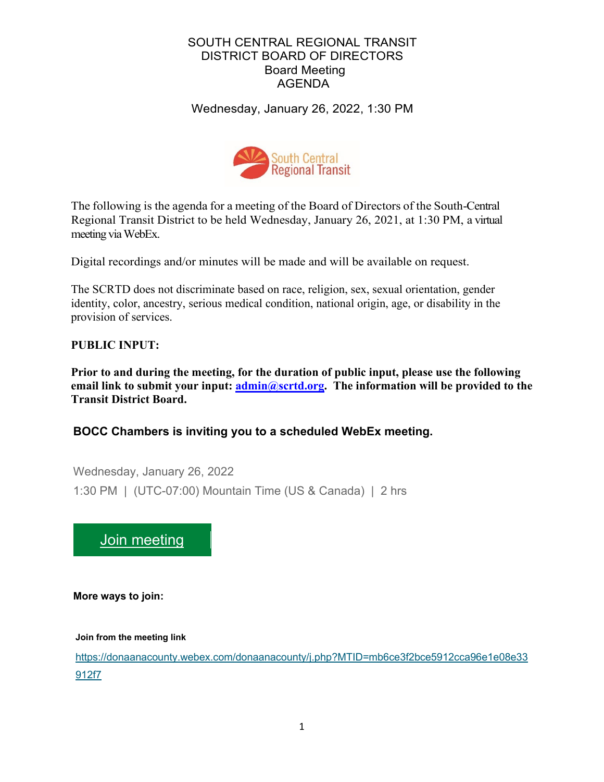# SOUTH CENTRAL REGIONAL TRANSIT DISTRICT BOARD OF DIRECTORS Board Meeting AGENDA

Wednesday, January 26, 2022, 1:30 PM



The following is the agenda for a meeting of the Board of Directors of the South-Central Regional Transit District to be held Wednesday, January 26, 2021, at 1:30 PM, a virtual meeting via WebEx.

Digital recordings and/or minutes will be made and will be available on request.

The SCRTD does not discriminate based on race, religion, sex, sexual orientation, gender identity, color, ancestry, serious medical condition, national origin, age, or disability in the provision of services.

# **PUBLIC INPUT:**

**Prior to and during the meeting, for the duration of public input, please use the following email link to submit your input: [admin@scrtd.org.](about:blank) The information will be provided to the Transit District Board.**

# **BOCC Chambers is inviting you to a scheduled WebEx meeting.**

Wednesday, January 26, 2022 1:30 PM | (UTC-07:00) Mountain Time (US & Canada) | 2 hrs



**More ways to join:**

**Join from the meeting link**

[https://donaanacounty.webex.com/donaanacounty/j.php?MTID=mb6ce3f2bce5912cca96e1e08e33](https://donaanacounty.webex.com/donaanacounty/j.php?MTID=mb6ce3f2bce5912cca96e1e08e33912f7) [912f7](https://donaanacounty.webex.com/donaanacounty/j.php?MTID=mb6ce3f2bce5912cca96e1e08e33912f7)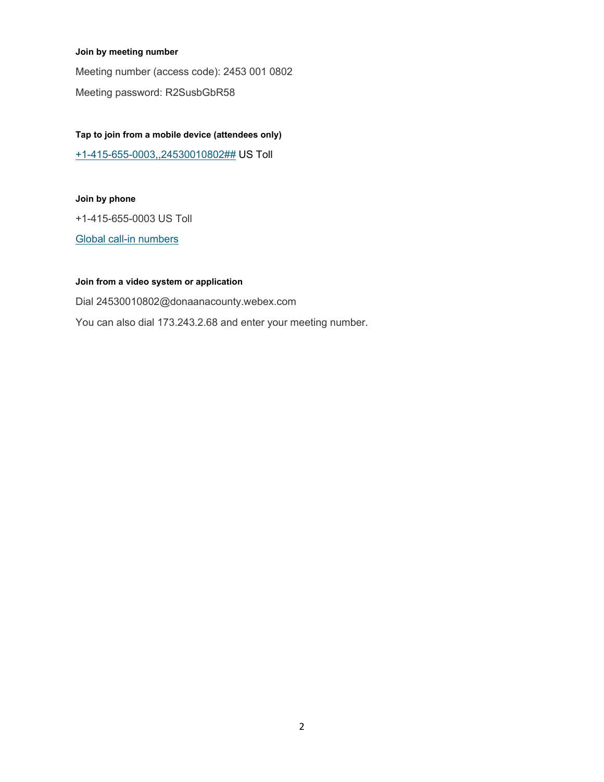#### **Join by meeting number**

Meeting number (access code): 2453 001 0802 Meeting password: R2SusbGbR58

### **Tap to join from a mobile device (attendees only)**

[+1-415-655-0003,,24530010802##](tel:%2B1-415-655-0003,,*01*24530010802%23%23*01*) US Toll

#### **Join by phone**

+1-415-655-0003 US Toll

[Global call-in numbers](https://donaanacounty.webex.com/donaanacounty/globalcallin.php?MTID=m9fcb493454c0d09ba3d8caabe564098e)

### **Join from a video system or application**

Dial 24530010802@donaanacounty.webex.com You can also dial 173.243.2.68 and enter your meeting number.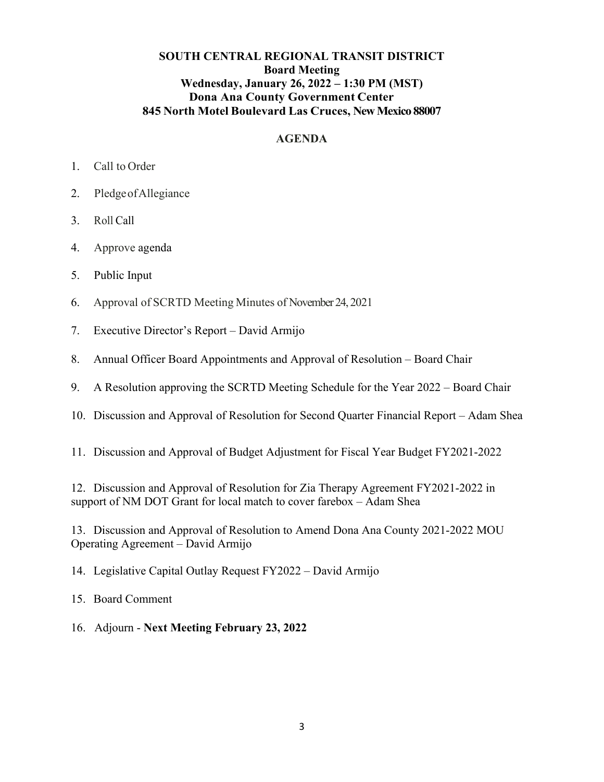# **SOUTH CENTRAL REGIONAL TRANSIT DISTRICT Board Meeting Wednesday, January 26, 2022 – 1:30 PM (MST) Dona Ana County Government Center 845 North Motel Boulevard Las Cruces, New Mexico 88007**

# **AGENDA**

- 1. Call to Order
- 2. PledgeofAllegiance
- 3. Roll Call
- 4. Approve agenda
- 5. Public Input
- 6. Approval of SCRTD Meeting Minutes of November 24, 2021
- 7. Executive Director's Report David Armijo
- 8. Annual Officer Board Appointments and Approval of Resolution Board Chair
- 9. A Resolution approving the SCRTD Meeting Schedule for the Year 2022 Board Chair
- 10. Discussion and Approval of Resolution for Second Quarter Financial Report Adam Shea
- 11. Discussion and Approval of Budget Adjustment for Fiscal Year Budget FY2021-2022

12. Discussion and Approval of Resolution for Zia Therapy Agreement FY2021-2022 in support of NM DOT Grant for local match to cover farebox – Adam Shea

13. Discussion and Approval of Resolution to Amend Dona Ana County 2021-2022 MOU Operating Agreement – David Armijo

14. Legislative Capital Outlay Request FY2022 – David Armijo

15. Board Comment

16. Adjourn - **Next Meeting February 23, 2022**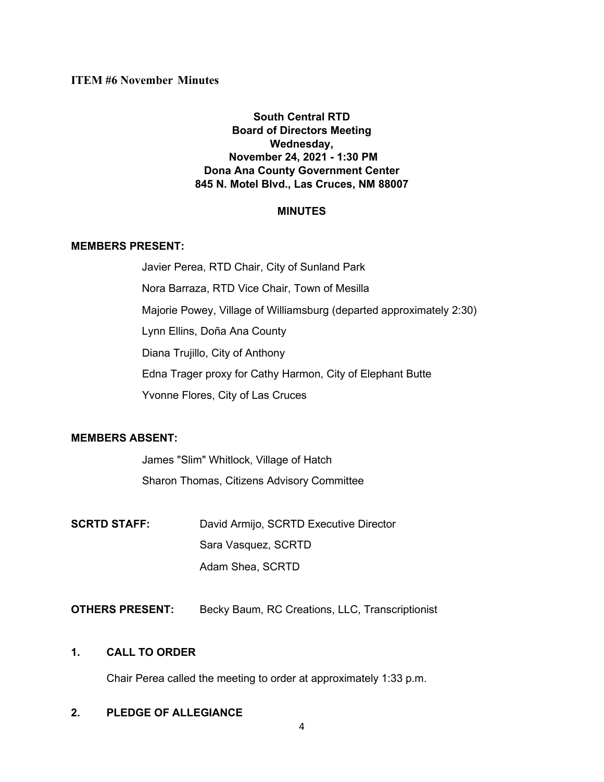# **South Central RTD Board of Directors Meeting Wednesday, November 24, 2021 - 1:30 PM Dona Ana County Government Center 845 N. Motel Blvd., Las Cruces, NM 88007**

# **MINUTES**

### **MEMBERS PRESENT:**

Javier Perea, RTD Chair, City of Sunland Park Nora Barraza, RTD Vice Chair, Town of Mesilla Majorie Powey, Village of Williamsburg (departed approximately 2:30) Lynn Ellins, Doña Ana County Diana Trujillo, City of Anthony Edna Trager proxy for Cathy Harmon, City of Elephant Butte Yvonne Flores, City of Las Cruces

# **MEMBERS ABSENT:**

James "Slim" Whitlock, Village of Hatch Sharon Thomas, Citizens Advisory Committee

- **SCRTD STAFF:** David Armijo, SCRTD Executive Director Sara Vasquez, SCRTD Adam Shea, SCRTD
- **OTHERS PRESENT:** Becky Baum, RC Creations, LLC, Transcriptionist

# **1. CALL TO ORDER**

Chair Perea called the meeting to order at approximately 1:33 p.m.

# **2. PLEDGE OF ALLEGIANCE**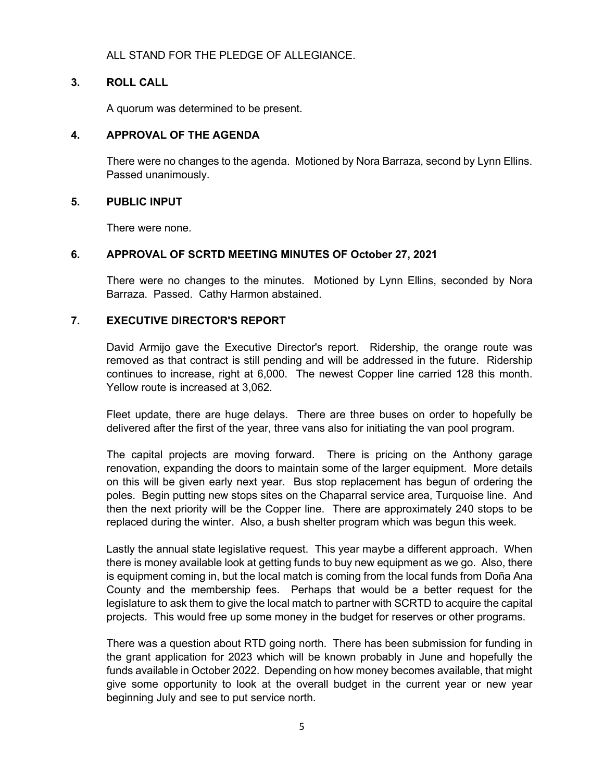# ALL STAND FOR THE PLEDGE OF ALLEGIANCE.

### **3. ROLL CALL**

A quorum was determined to be present.

### **4. APPROVAL OF THE AGENDA**

There were no changes to the agenda. Motioned by Nora Barraza, second by Lynn Ellins. Passed unanimously.

### **5. PUBLIC INPUT**

There were none.

### **6. APPROVAL OF SCRTD MEETING MINUTES OF October 27, 2021**

There were no changes to the minutes. Motioned by Lynn Ellins, seconded by Nora Barraza. Passed. Cathy Harmon abstained.

# **7. EXECUTIVE DIRECTOR'S REPORT**

David Armijo gave the Executive Director's report. Ridership, the orange route was removed as that contract is still pending and will be addressed in the future. Ridership continues to increase, right at 6,000. The newest Copper line carried 128 this month. Yellow route is increased at 3,062.

Fleet update, there are huge delays. There are three buses on order to hopefully be delivered after the first of the year, three vans also for initiating the van pool program.

The capital projects are moving forward. There is pricing on the Anthony garage renovation, expanding the doors to maintain some of the larger equipment. More details on this will be given early next year. Bus stop replacement has begun of ordering the poles. Begin putting new stops sites on the Chaparral service area, Turquoise line. And then the next priority will be the Copper line. There are approximately 240 stops to be replaced during the winter. Also, a bush shelter program which was begun this week.

Lastly the annual state legislative request. This year maybe a different approach. When there is money available look at getting funds to buy new equipment as we go. Also, there is equipment coming in, but the local match is coming from the local funds from Doña Ana County and the membership fees. Perhaps that would be a better request for the legislature to ask them to give the local match to partner with SCRTD to acquire the capital projects. This would free up some money in the budget for reserves or other programs.

There was a question about RTD going north. There has been submission for funding in the grant application for 2023 which will be known probably in June and hopefully the funds available in October 2022. Depending on how money becomes available, that might give some opportunity to look at the overall budget in the current year or new year beginning July and see to put service north.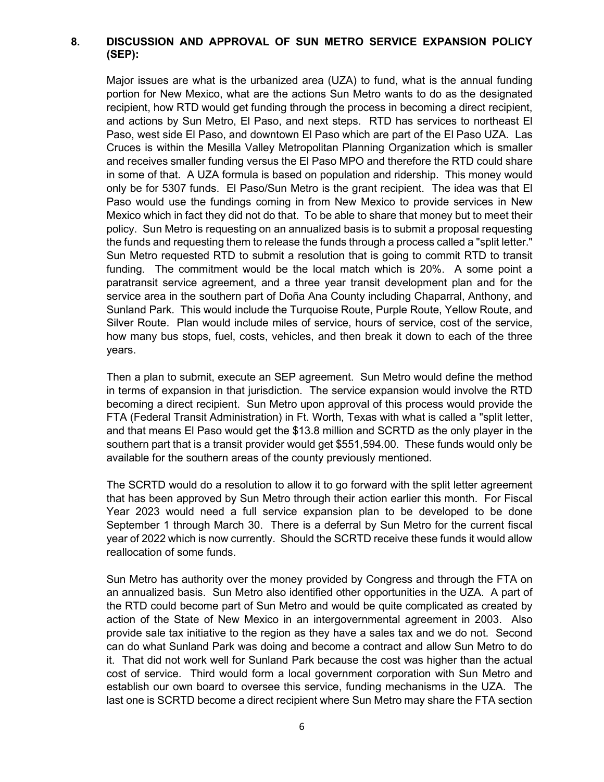# **8. DISCUSSION AND APPROVAL OF SUN METRO SERVICE EXPANSION POLICY (SEP):**

Major issues are what is the urbanized area (UZA) to fund, what is the annual funding portion for New Mexico, what are the actions Sun Metro wants to do as the designated recipient, how RTD would get funding through the process in becoming a direct recipient, and actions by Sun Metro, El Paso, and next steps. RTD has services to northeast El Paso, west side El Paso, and downtown El Paso which are part of the El Paso UZA. Las Cruces is within the Mesilla Valley Metropolitan Planning Organization which is smaller and receives smaller funding versus the El Paso MPO and therefore the RTD could share in some of that. A UZA formula is based on population and ridership. This money would only be for 5307 funds. El Paso/Sun Metro is the grant recipient. The idea was that El Paso would use the fundings coming in from New Mexico to provide services in New Mexico which in fact they did not do that. To be able to share that money but to meet their policy. Sun Metro is requesting on an annualized basis is to submit a proposal requesting the funds and requesting them to release the funds through a process called a "split letter." Sun Metro requested RTD to submit a resolution that is going to commit RTD to transit funding. The commitment would be the local match which is 20%. A some point a paratransit service agreement, and a three year transit development plan and for the service area in the southern part of Doña Ana County including Chaparral, Anthony, and Sunland Park. This would include the Turquoise Route, Purple Route, Yellow Route, and Silver Route. Plan would include miles of service, hours of service, cost of the service, how many bus stops, fuel, costs, vehicles, and then break it down to each of the three years.

Then a plan to submit, execute an SEP agreement. Sun Metro would define the method in terms of expansion in that jurisdiction. The service expansion would involve the RTD becoming a direct recipient. Sun Metro upon approval of this process would provide the FTA (Federal Transit Administration) in Ft. Worth, Texas with what is called a "split letter, and that means El Paso would get the \$13.8 million and SCRTD as the only player in the southern part that is a transit provider would get \$551,594.00. These funds would only be available for the southern areas of the county previously mentioned.

The SCRTD would do a resolution to allow it to go forward with the split letter agreement that has been approved by Sun Metro through their action earlier this month. For Fiscal Year 2023 would need a full service expansion plan to be developed to be done September 1 through March 30. There is a deferral by Sun Metro for the current fiscal year of 2022 which is now currently. Should the SCRTD receive these funds it would allow reallocation of some funds.

Sun Metro has authority over the money provided by Congress and through the FTA on an annualized basis. Sun Metro also identified other opportunities in the UZA. A part of the RTD could become part of Sun Metro and would be quite complicated as created by action of the State of New Mexico in an intergovernmental agreement in 2003. Also provide sale tax initiative to the region as they have a sales tax and we do not. Second can do what Sunland Park was doing and become a contract and allow Sun Metro to do it. That did not work well for Sunland Park because the cost was higher than the actual cost of service. Third would form a local government corporation with Sun Metro and establish our own board to oversee this service, funding mechanisms in the UZA. The last one is SCRTD become a direct recipient where Sun Metro may share the FTA section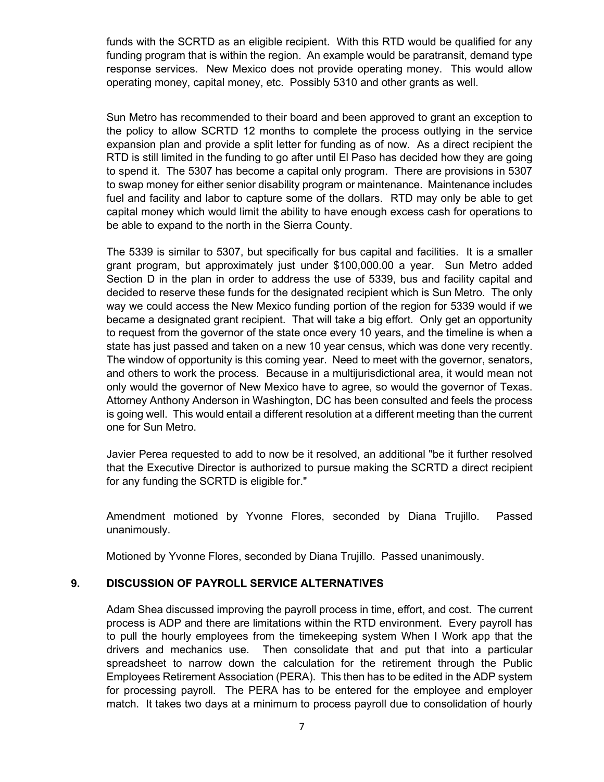funds with the SCRTD as an eligible recipient. With this RTD would be qualified for any funding program that is within the region. An example would be paratransit, demand type response services. New Mexico does not provide operating money. This would allow operating money, capital money, etc. Possibly 5310 and other grants as well.

Sun Metro has recommended to their board and been approved to grant an exception to the policy to allow SCRTD 12 months to complete the process outlying in the service expansion plan and provide a split letter for funding as of now. As a direct recipient the RTD is still limited in the funding to go after until El Paso has decided how they are going to spend it. The 5307 has become a capital only program. There are provisions in 5307 to swap money for either senior disability program or maintenance. Maintenance includes fuel and facility and labor to capture some of the dollars. RTD may only be able to get capital money which would limit the ability to have enough excess cash for operations to be able to expand to the north in the Sierra County.

The 5339 is similar to 5307, but specifically for bus capital and facilities. It is a smaller grant program, but approximately just under \$100,000.00 a year. Sun Metro added Section D in the plan in order to address the use of 5339, bus and facility capital and decided to reserve these funds for the designated recipient which is Sun Metro. The only way we could access the New Mexico funding portion of the region for 5339 would if we became a designated grant recipient. That will take a big effort. Only get an opportunity to request from the governor of the state once every 10 years, and the timeline is when a state has just passed and taken on a new 10 year census, which was done very recently. The window of opportunity is this coming year. Need to meet with the governor, senators, and others to work the process. Because in a multijurisdictional area, it would mean not only would the governor of New Mexico have to agree, so would the governor of Texas. Attorney Anthony Anderson in Washington, DC has been consulted and feels the process is going well. This would entail a different resolution at a different meeting than the current one for Sun Metro.

Javier Perea requested to add to now be it resolved, an additional "be it further resolved that the Executive Director is authorized to pursue making the SCRTD a direct recipient for any funding the SCRTD is eligible for."

Amendment motioned by Yvonne Flores, seconded by Diana Trujillo. Passed unanimously.

Motioned by Yvonne Flores, seconded by Diana Trujillo. Passed unanimously.

# **9. DISCUSSION OF PAYROLL SERVICE ALTERNATIVES**

Adam Shea discussed improving the payroll process in time, effort, and cost. The current process is ADP and there are limitations within the RTD environment. Every payroll has to pull the hourly employees from the timekeeping system When I Work app that the drivers and mechanics use. Then consolidate that and put that into a particular spreadsheet to narrow down the calculation for the retirement through the Public Employees Retirement Association (PERA). This then has to be edited in the ADP system for processing payroll. The PERA has to be entered for the employee and employer match. It takes two days at a minimum to process payroll due to consolidation of hourly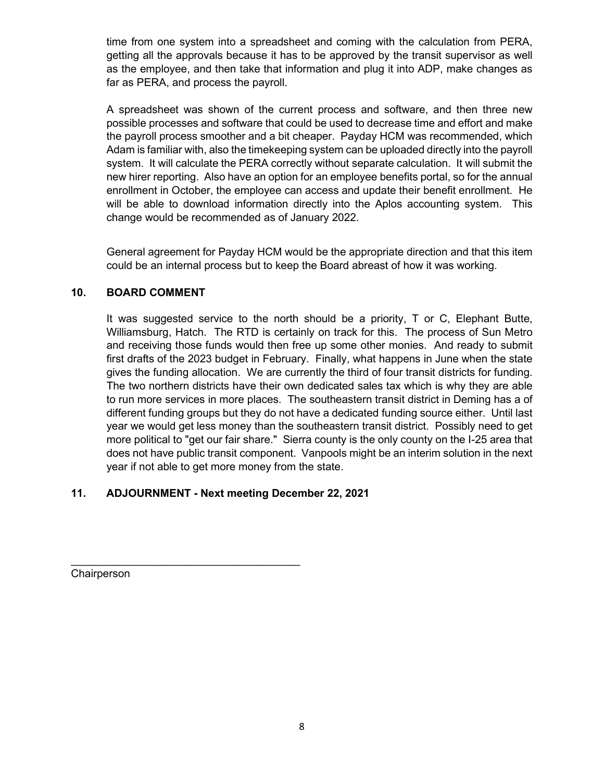time from one system into a spreadsheet and coming with the calculation from PERA, getting all the approvals because it has to be approved by the transit supervisor as well as the employee, and then take that information and plug it into ADP, make changes as far as PERA, and process the payroll.

A spreadsheet was shown of the current process and software, and then three new possible processes and software that could be used to decrease time and effort and make the payroll process smoother and a bit cheaper. Payday HCM was recommended, which Adam is familiar with, also the timekeeping system can be uploaded directly into the payroll system. It will calculate the PERA correctly without separate calculation. It will submit the new hirer reporting. Also have an option for an employee benefits portal, so for the annual enrollment in October, the employee can access and update their benefit enrollment. He will be able to download information directly into the Aplos accounting system. This change would be recommended as of January 2022.

General agreement for Payday HCM would be the appropriate direction and that this item could be an internal process but to keep the Board abreast of how it was working.

# **10. BOARD COMMENT**

It was suggested service to the north should be a priority, T or C, Elephant Butte, Williamsburg, Hatch. The RTD is certainly on track for this. The process of Sun Metro and receiving those funds would then free up some other monies. And ready to submit first drafts of the 2023 budget in February. Finally, what happens in June when the state gives the funding allocation. We are currently the third of four transit districts for funding. The two northern districts have their own dedicated sales tax which is why they are able to run more services in more places. The southeastern transit district in Deming has a of different funding groups but they do not have a dedicated funding source either. Until last year we would get less money than the southeastern transit district. Possibly need to get more political to "get our fair share." Sierra county is the only county on the I-25 area that does not have public transit component. Vanpools might be an interim solution in the next year if not able to get more money from the state.

# **11. ADJOURNMENT - Next meeting December 22, 2021**

\_\_\_\_\_\_\_\_\_\_\_\_\_\_\_\_\_\_\_\_\_\_\_\_\_\_\_\_\_\_\_\_\_\_\_\_\_\_

**Chairperson**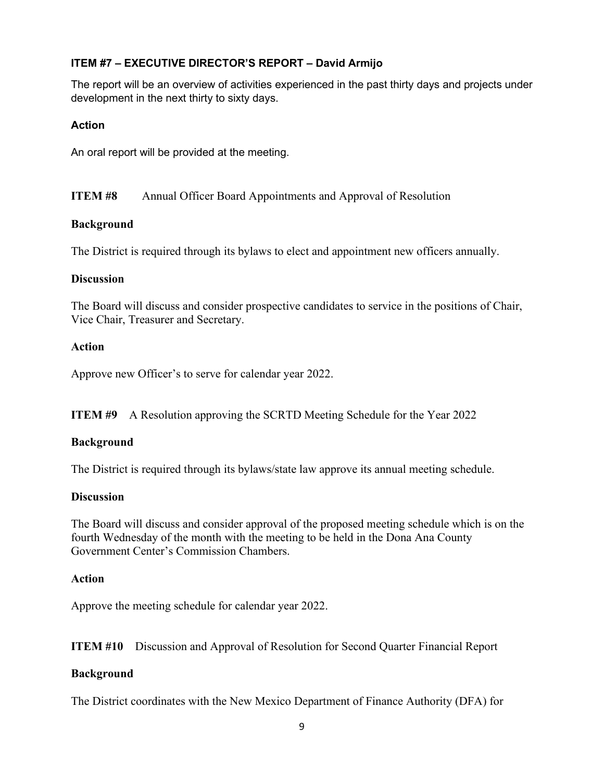# **ITEM #7 – EXECUTIVE DIRECTOR'S REPORT – David Armijo**

The report will be an overview of activities experienced in the past thirty days and projects under development in the next thirty to sixty days.

# **Action**

An oral report will be provided at the meeting.

**ITEM #8** Annual Officer Board Appointments and Approval of Resolution

# **Background**

The District is required through its bylaws to elect and appointment new officers annually.

# **Discussion**

The Board will discuss and consider prospective candidates to service in the positions of Chair, Vice Chair, Treasurer and Secretary.

# **Action**

Approve new Officer's to serve for calendar year 2022.

**ITEM #9** A Resolution approving the SCRTD Meeting Schedule for the Year 2022

# **Background**

The District is required through its bylaws/state law approve its annual meeting schedule.

# **Discussion**

The Board will discuss and consider approval of the proposed meeting schedule which is on the fourth Wednesday of the month with the meeting to be held in the Dona Ana County Government Center's Commission Chambers.

# **Action**

Approve the meeting schedule for calendar year 2022.

**ITEM #10** Discussion and Approval of Resolution for Second Quarter Financial Report

# **Background**

The District coordinates with the New Mexico Department of Finance Authority (DFA) for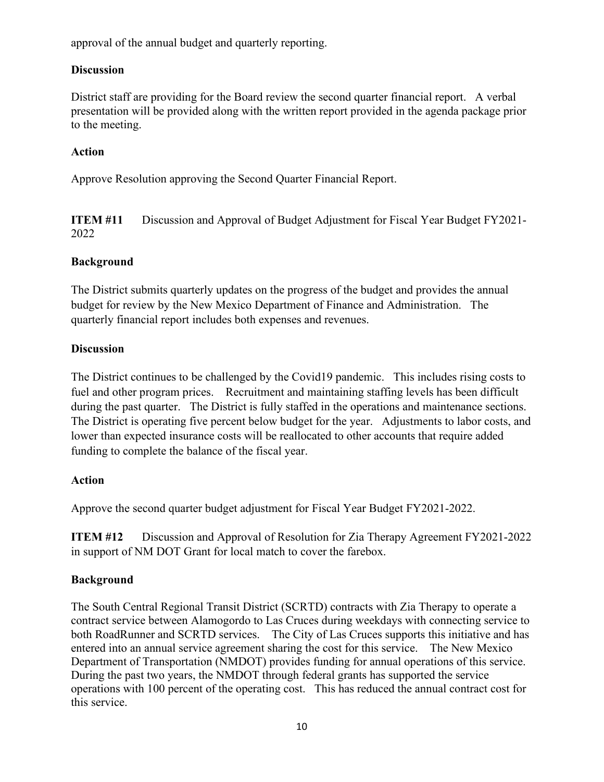approval of the annual budget and quarterly reporting.

# **Discussion**

District staff are providing for the Board review the second quarter financial report. A verbal presentation will be provided along with the written report provided in the agenda package prior to the meeting.

# **Action**

Approve Resolution approving the Second Quarter Financial Report.

**ITEM #11** Discussion and Approval of Budget Adjustment for Fiscal Year Budget FY2021- 2022

# **Background**

The District submits quarterly updates on the progress of the budget and provides the annual budget for review by the New Mexico Department of Finance and Administration. The quarterly financial report includes both expenses and revenues.

# **Discussion**

The District continues to be challenged by the Covid19 pandemic. This includes rising costs to fuel and other program prices. Recruitment and maintaining staffing levels has been difficult during the past quarter. The District is fully staffed in the operations and maintenance sections. The District is operating five percent below budget for the year. Adjustments to labor costs, and lower than expected insurance costs will be reallocated to other accounts that require added funding to complete the balance of the fiscal year.

# **Action**

Approve the second quarter budget adjustment for Fiscal Year Budget FY2021-2022.

**ITEM #12** Discussion and Approval of Resolution for Zia Therapy Agreement FY2021-2022 in support of NM DOT Grant for local match to cover the farebox.

# **Background**

The South Central Regional Transit District (SCRTD) contracts with Zia Therapy to operate a contract service between Alamogordo to Las Cruces during weekdays with connecting service to both RoadRunner and SCRTD services. The City of Las Cruces supports this initiative and has entered into an annual service agreement sharing the cost for this service. The New Mexico Department of Transportation (NMDOT) provides funding for annual operations of this service. During the past two years, the NMDOT through federal grants has supported the service operations with 100 percent of the operating cost. This has reduced the annual contract cost for this service.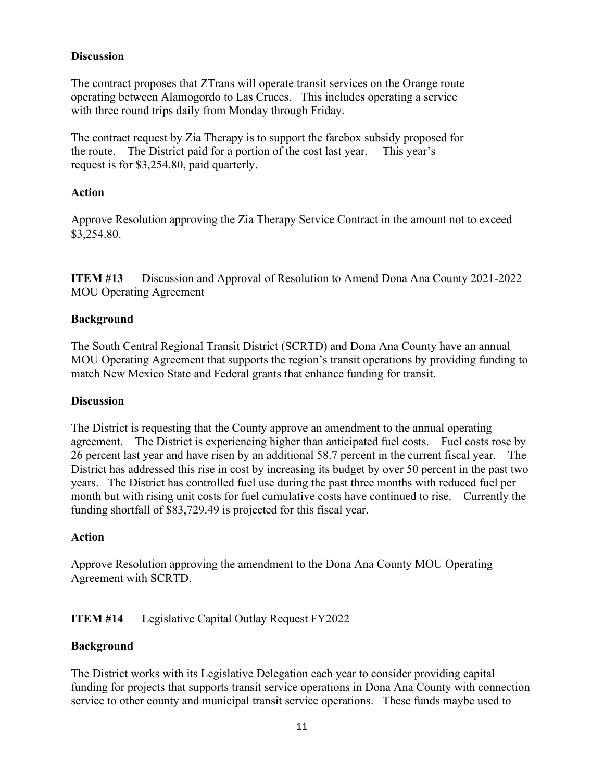# **Discussion**

The contract proposes that ZTrans will operate transit services on the Orange route operating between Alamogordo to Las Cruces. This includes operating a service with three round trips daily from Monday through Friday.

The contract request by Zia Therapy is to support the farebox subsidy proposed for the route. The District paid for a portion of the cost last year. This year's request is for \$3,254.80, paid quarterly.

# **Action**

Approve Resolution approving the Zia Therapy Service Contract in the amount not to exceed \$3,254.80.

**ITEM #13** Discussion and Approval of Resolution to Amend Dona Ana County 2021-2022 MOU Operating Agreement

# **Background**

The South Central Regional Transit District (SCRTD) and Dona Ana County have an annual MOU Operating Agreement that supports the region's transit operations by providing funding to match New Mexico State and Federal grants that enhance funding for transit.

# **Discussion**

The District is requesting that the County approve an amendment to the annual operating agreement. The District is experiencing higher than anticipated fuel costs. Fuel costs rose by 26 percent last year and have risen by an additional 58.7 percent in the current fiscal year. The District has addressed this rise in cost by increasing its budget by over 50 percent in the past two years. The District has controlled fuel use during the past three months with reduced fuel per month but with rising unit costs for fuel cumulative costs have continued to rise. Currently the funding shortfall of \$83,729.49 is projected for this fiscal year.

# **Action**

Approve Resolution approving the amendment to the Dona Ana County MOU Operating Agreement with SCRTD.

# **ITEM #14** Legislative Capital Outlay Request FY2022

# **Background**

The District works with its Legislative Delegation each year to consider providing capital funding for projects that supports transit service operations in Dona Ana County with connection service to other county and municipal transit service operations. These funds maybe used to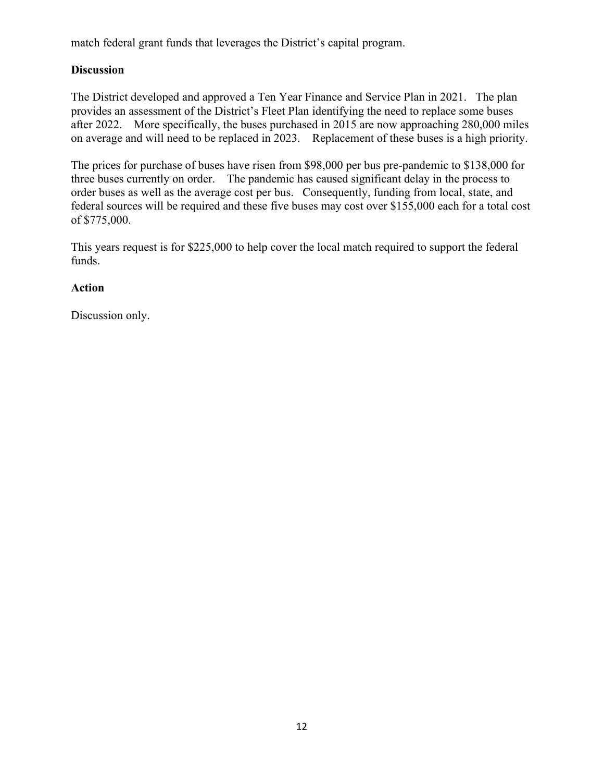match federal grant funds that leverages the District's capital program.

# **Discussion**

The District developed and approved a Ten Year Finance and Service Plan in 2021. The plan provides an assessment of the District's Fleet Plan identifying the need to replace some buses after 2022. More specifically, the buses purchased in 2015 are now approaching 280,000 miles on average and will need to be replaced in 2023. Replacement of these buses is a high priority.

The prices for purchase of buses have risen from \$98,000 per bus pre-pandemic to \$138,000 for three buses currently on order. The pandemic has caused significant delay in the process to order buses as well as the average cost per bus. Consequently, funding from local, state, and federal sources will be required and these five buses may cost over \$155,000 each for a total cost of \$775,000.

This years request is for \$225,000 to help cover the local match required to support the federal funds.

# **Action**

Discussion only.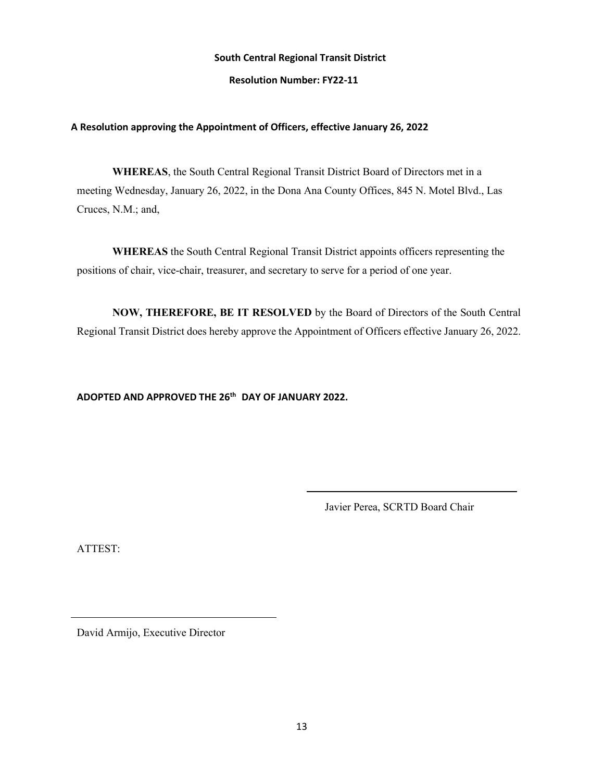#### **Resolution Number: FY22-11**

#### **A Resolution approving the Appointment of Officers, effective January 26, 2022**

**WHEREAS**, the South Central Regional Transit District Board of Directors met in a meeting Wednesday, January 26, 2022, in the Dona Ana County Offices, 845 N. Motel Blvd., Las Cruces, N.M.; and,

**WHEREAS** the South Central Regional Transit District appoints officers representing the positions of chair, vice-chair, treasurer, and secretary to serve for a period of one year.

**NOW, THEREFORE, BE IT RESOLVED** by the Board of Directors of the South Central Regional Transit District does hereby approve the Appointment of Officers effective January 26, 2022.

# **ADOPTED AND APPROVED THE 26th DAY OF JANUARY 2022.**

Javier Perea, SCRTD Board Chair

ATTEST: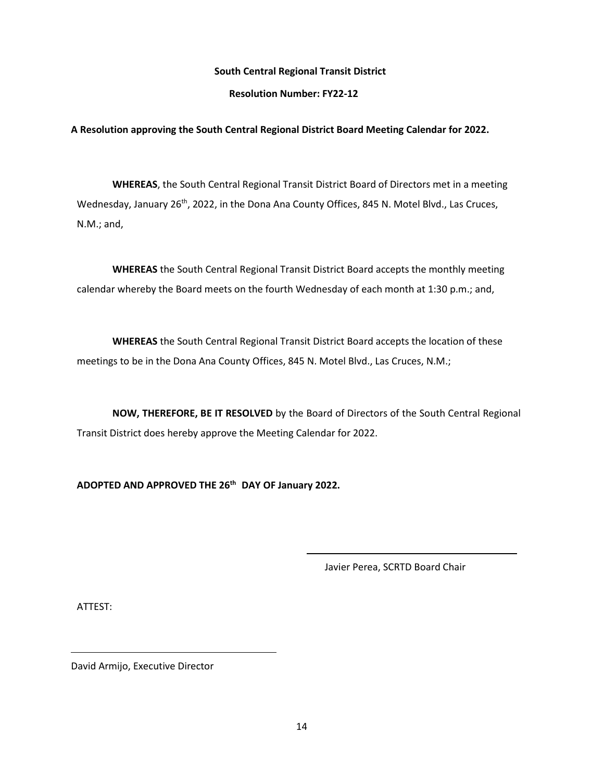#### **Resolution Number: FY22-12**

### **A Resolution approving the South Central Regional District Board Meeting Calendar for 2022.**

**WHEREAS**, the South Central Regional Transit District Board of Directors met in a meeting Wednesday, January 26<sup>th</sup>, 2022, in the Dona Ana County Offices, 845 N. Motel Blvd., Las Cruces, N.M.; and,

**WHEREAS** the South Central Regional Transit District Board accepts the monthly meeting calendar whereby the Board meets on the fourth Wednesday of each month at 1:30 p.m.; and,

**WHEREAS** the South Central Regional Transit District Board accepts the location of these meetings to be in the Dona Ana County Offices, 845 N. Motel Blvd., Las Cruces, N.M.;

**NOW, THEREFORE, BE IT RESOLVED** by the Board of Directors of the South Central Regional Transit District does hereby approve the Meeting Calendar for 2022.

**ADOPTED AND APPROVED THE 26th DAY OF January 2022.**

Javier Perea, SCRTD Board Chair

ATTEST: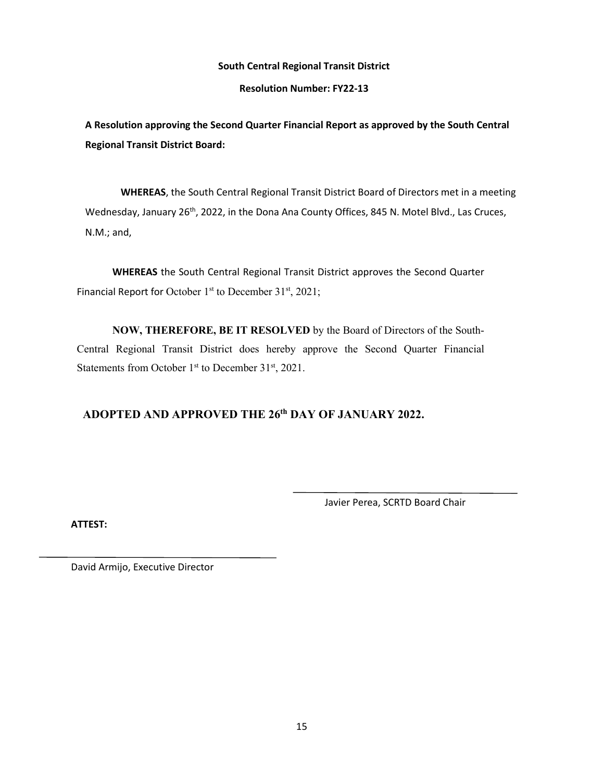**Resolution Number: FY22-13**

**A Resolution approving the Second Quarter Financial Report as approved by the South Central Regional Transit District Board:**

**WHEREAS**, the South Central Regional Transit District Board of Directors met in a meeting Wednesday, January 26<sup>th</sup>, 2022, in the Dona Ana County Offices, 845 N. Motel Blvd., Las Cruces, N.M.; and,

**WHEREAS** the South Central Regional Transit District approves the Second Quarter Financial Report for October 1<sup>st</sup> to December 31<sup>st</sup>, 2021;

**NOW, THEREFORE, BE IT RESOLVED** by the Board of Directors of the South-Central Regional Transit District does hereby approve the Second Quarter Financial Statements from October 1<sup>st</sup> to December 31<sup>st</sup>, 2021.

# **ADOPTED AND APPROVED THE 26th DAY OF JANUARY 2022.**

Javier Perea, SCRTD Board Chair

**ATTEST:**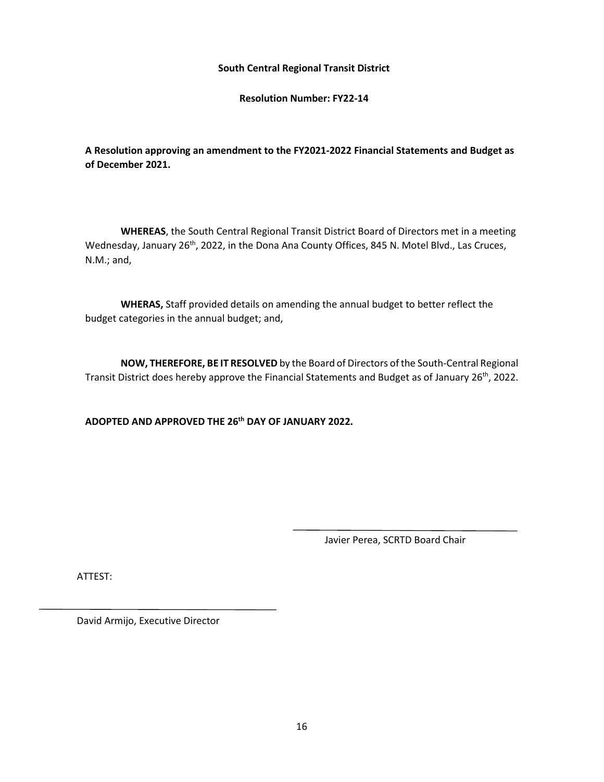**Resolution Number: FY22-14**

**A Resolution approving an amendment to the FY2021-2022 Financial Statements and Budget as of December 2021.** 

**WHEREAS**, the South Central Regional Transit District Board of Directors met in a meeting Wednesday, January 26<sup>th</sup>, 2022, in the Dona Ana County Offices, 845 N. Motel Blvd., Las Cruces, N.M.; and,

**WHERAS,** Staff provided details on amending the annual budget to better reflect the budget categories in the annual budget; and,

**NOW, THEREFORE, BE IT RESOLVED** by the Board of Directors of the South-Central Regional Transit District does hereby approve the Financial Statements and Budget as of January 26<sup>th</sup>, 2022.

**ADOPTED AND APPROVED THE 26th DAY OF JANUARY 2022.**

Javier Perea, SCRTD Board Chair

ATTEST: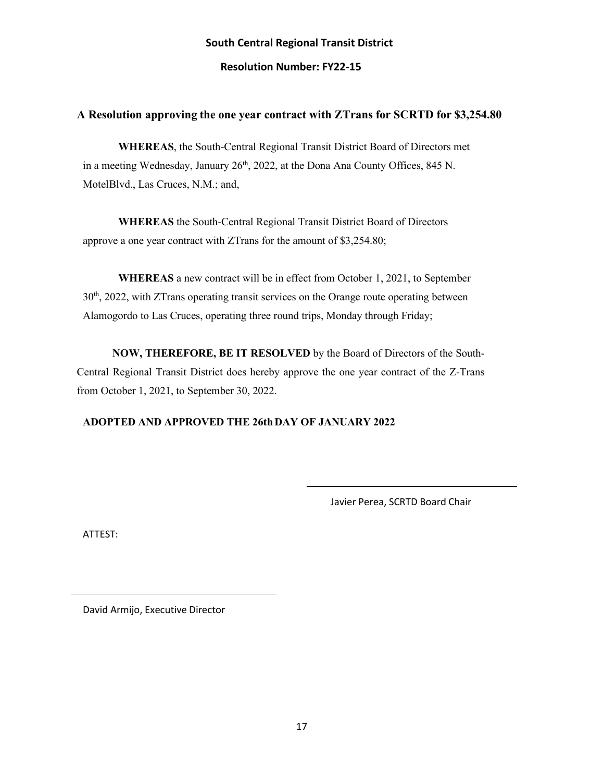# **South Central Regional Transit District Resolution Number: FY22-15**

# **A Resolution approving the one year contract with ZTrans for SCRTD for \$3,254.80**

**WHEREAS**, the South-Central Regional Transit District Board of Directors met in a meeting Wednesday, January  $26<sup>th</sup>$ , 2022, at the Dona Ana County Offices, 845 N. MotelBlvd., Las Cruces, N.M.; and,

**WHEREAS** the South-Central Regional Transit District Board of Directors approve a one year contract with ZTrans for the amount of \$3,254.80;

**WHEREAS** a new contract will be in effect from October 1, 2021, to September  $30<sup>th</sup>$ , 2022, with ZTrans operating transit services on the Orange route operating between Alamogordo to Las Cruces, operating three round trips, Monday through Friday;

**NOW, THEREFORE, BE IT RESOLVED** by the Board of Directors of the South-Central Regional Transit District does hereby approve the one year contract of the Z-Trans from October 1, 2021, to September 30, 2022.

# **ADOPTED AND APPROVED THE 26thDAY OF JANUARY 2022**

Javier Perea, SCRTD Board Chair

ATTEST: